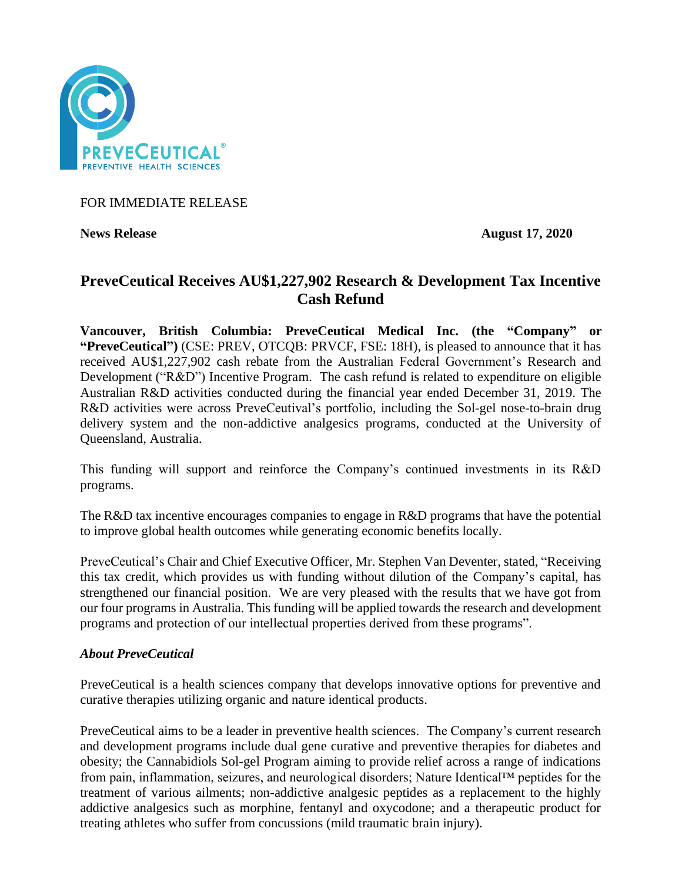

FOR IMMEDIATE RELEASE

**News Release August 17, 2020**

# **PreveCeutical Receives AU\$1,227,902 Research & Development Tax Incentive Cash Refund**

**Vancouver, British Columbia: PreveCeutical Medical Inc. (the "Company" or "PreveCeutical")** (CSE: PREV, OTCQB: PRVCF, FSE: 18H), is pleased to announce that it has received AU\$1,227,902 cash rebate from the Australian Federal Government's Research and Development ("R&D") Incentive Program. The cash refund is related to expenditure on eligible Australian R&D activities conducted during the financial year ended December 31, 2019. The R&D activities were across PreveCeutival's portfolio, including the Sol-gel nose-to-brain drug delivery system and the non-addictive analgesics programs, conducted at the University of Queensland, Australia.

This funding will support and reinforce the Company's continued investments in its R&D programs.

The R&D tax incentive encourages companies to engage in R&D programs that have the potential to improve global health outcomes while generating economic benefits locally.

PreveCeutical's Chair and Chief Executive Officer, Mr. Stephen Van Deventer, stated, "Receiving this tax credit, which provides us with funding without dilution of the Company's capital, has strengthened our financial position. We are very pleased with the results that we have got from our four programs in Australia. This funding will be applied towards the research and development programs and protection of our intellectual properties derived from these programs".

## *About PreveCeutical*

PreveCeutical is a health sciences company that develops innovative options for preventive and curative therapies utilizing organic and nature identical products.

PreveCeutical aims to be a leader in preventive health sciences. The Company's current research and development programs include dual gene curative and preventive therapies for diabetes and obesity; the Cannabidiols Sol-gel Program aiming to provide relief across a range of indications from pain, inflammation, seizures, and neurological disorders; Nature Identical™ peptides for the treatment of various ailments; non-addictive analgesic peptides as a replacement to the highly addictive analgesics such as morphine, fentanyl and oxycodone; and a therapeutic product for treating athletes who suffer from concussions (mild traumatic brain injury).